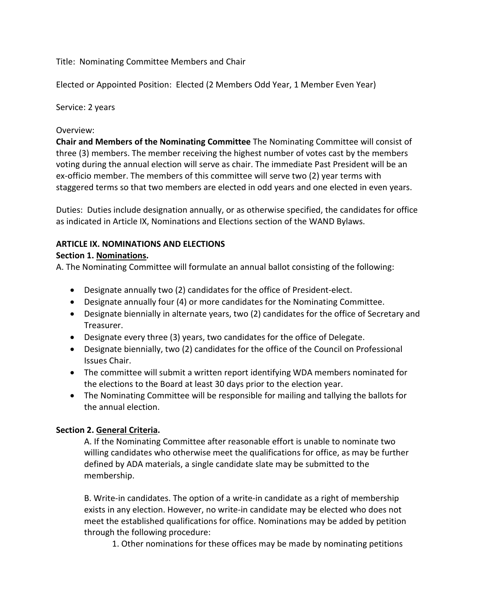Title: Nominating Committee Members and Chair

Elected or Appointed Position: Elected (2 Members Odd Year, 1 Member Even Year)

Service: 2 years

### Overview:

**Chair and Members of the Nominating Committee** The Nominating Committee will consist of three (3) members. The member receiving the highest number of votes cast by the members voting during the annual election will serve as chair. The immediate Past President will be an ex-officio member. The members of this committee will serve two (2) year terms with staggered terms so that two members are elected in odd years and one elected in even years.

Duties: Duties include designation annually, or as otherwise specified, the candidates for office as indicated in Article IX, Nominations and Elections section of the WAND Bylaws.

# **ARTICLE IX. NOMINATIONS AND ELECTIONS**

#### **Section 1. Nominations.**

A. The Nominating Committee will formulate an annual ballot consisting of the following:

- Designate annually two (2) candidates for the office of President-elect.
- Designate annually four (4) or more candidates for the Nominating Committee.
- Designate biennially in alternate years, two (2) candidates for the office of Secretary and Treasurer.
- Designate every three (3) years, two candidates for the office of Delegate.
- Designate biennially, two (2) candidates for the office of the Council on Professional Issues Chair.
- The committee will submit a written report identifying WDA members nominated for the elections to the Board at least 30 days prior to the election year.
- The Nominating Committee will be responsible for mailing and tallying the ballots for the annual election.

## **Section 2. General Criteria.**

A. If the Nominating Committee after reasonable effort is unable to nominate two willing candidates who otherwise meet the qualifications for office, as may be further defined by ADA materials, a single candidate slate may be submitted to the membership.

B. Write-in candidates. The option of a write-in candidate as a right of membership exists in any election. However, no write-in candidate may be elected who does not meet the established qualifications for office. Nominations may be added by petition through the following procedure:

1. Other nominations for these offices may be made by nominating petitions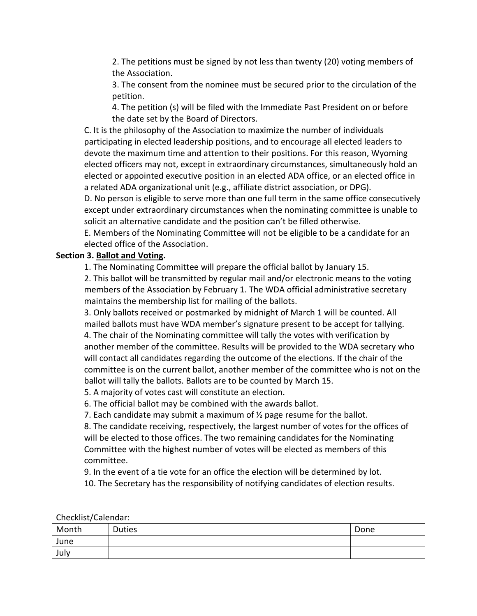2. The petitions must be signed by not less than twenty (20) voting members of the Association.

3. The consent from the nominee must be secured prior to the circulation of the petition.

4. The petition (s) will be filed with the Immediate Past President on or before the date set by the Board of Directors.

C. It is the philosophy of the Association to maximize the number of individuals participating in elected leadership positions, and to encourage all elected leaders to devote the maximum time and attention to their positions. For this reason, Wyoming elected officers may not, except in extraordinary circumstances, simultaneously hold an elected or appointed executive position in an elected ADA office, or an elected office in a related ADA organizational unit (e.g., affiliate district association, or DPG).

D. No person is eligible to serve more than one full term in the same office consecutively except under extraordinary circumstances when the nominating committee is unable to solicit an alternative candidate and the position can't be filled otherwise.

E. Members of the Nominating Committee will not be eligible to be a candidate for an elected office of the Association.

## **Section 3. Ballot and Voting.**

1. The Nominating Committee will prepare the official ballot by January 15.

2. This ballot will be transmitted by regular mail and/or electronic means to the voting members of the Association by February 1. The WDA official administrative secretary maintains the membership list for mailing of the ballots.

3. Only ballots received or postmarked by midnight of March 1 will be counted. All mailed ballots must have WDA member's signature present to be accept for tallying. 4. The chair of the Nominating committee will tally the votes with verification by another member of the committee. Results will be provided to the WDA secretary who will contact all candidates regarding the outcome of the elections. If the chair of the committee is on the current ballot, another member of the committee who is not on the ballot will tally the ballots. Ballots are to be counted by March 15.

5. A majority of votes cast will constitute an election.

6. The official ballot may be combined with the awards ballot.

7. Each candidate may submit a maximum of ½ page resume for the ballot.

8. The candidate receiving, respectively, the largest number of votes for the offices of will be elected to those offices. The two remaining candidates for the Nominating Committee with the highest number of votes will be elected as members of this committee.

9. In the event of a tie vote for an office the election will be determined by lot.

10. The Secretary has the responsibility of notifying candidates of election results.

| Month | <b>Duties</b> | Done |
|-------|---------------|------|
| June  |               |      |
| July  |               |      |

Checklist/Calendar: